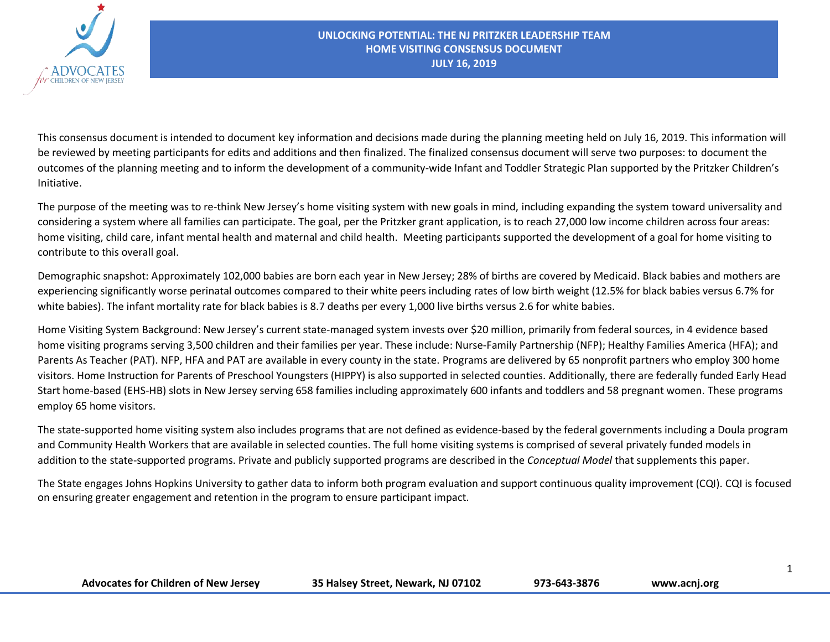

This consensus document is intended to document key information and decisions made during the planning meeting held on July 16, 2019. This information will be reviewed by meeting participants for edits and additions and then finalized. The finalized consensus document will serve two purposes: to document the outcomes of the planning meeting and to inform the development of a community-wide Infant and Toddler Strategic Plan supported by the Pritzker Children's Initiative.

The purpose of the meeting was to re-think New Jersey's home visiting system with new goals in mind, including expanding the system toward universality and considering a system where all families can participate. The goal, per the Pritzker grant application, is to reach 27,000 low income children across four areas: home visiting, child care, infant mental health and maternal and child health. Meeting participants supported the development of a goal for home visiting to contribute to this overall goal.

Demographic snapshot: Approximately 102,000 babies are born each year in New Jersey; 28% of births are covered by Medicaid. Black babies and mothers are experiencing significantly worse perinatal outcomes compared to their white peers including rates of low birth weight (12.5% for black babies versus 6.7% for white babies). The infant mortality rate for black babies is 8.7 deaths per every 1,000 live births versus 2.6 for white babies.

Home Visiting System Background: New Jersey's current state-managed system invests over \$20 million, primarily from federal sources, in 4 evidence based home visiting programs serving 3,500 children and their families per year. These include: Nurse-Family Partnership (NFP); Healthy Families America (HFA); and Parents As Teacher (PAT). NFP, HFA and PAT are available in every county in the state. Programs are delivered by 65 nonprofit partners who employ 300 home visitors. Home Instruction for Parents of Preschool Youngsters (HIPPY) is also supported in selected counties. Additionally, there are federally funded Early Head Start home-based (EHS-HB) slots in New Jersey serving 658 families including approximately 600 infants and toddlers and 58 pregnant women. These programs employ 65 home visitors.

The state-supported home visiting system also includes programs that are not defined as evidence-based by the federal governments including a Doula program and Community Health Workers that are available in selected counties. The full home visiting systems is comprised of several privately funded models in addition to the state-supported programs. Private and publicly supported programs are described in the *Conceptual Model* that supplements this paper.

The State engages Johns Hopkins University to gather data to inform both program evaluation and support continuous quality improvement (CQI). CQI is focused on ensuring greater engagement and retention in the program to ensure participant impact.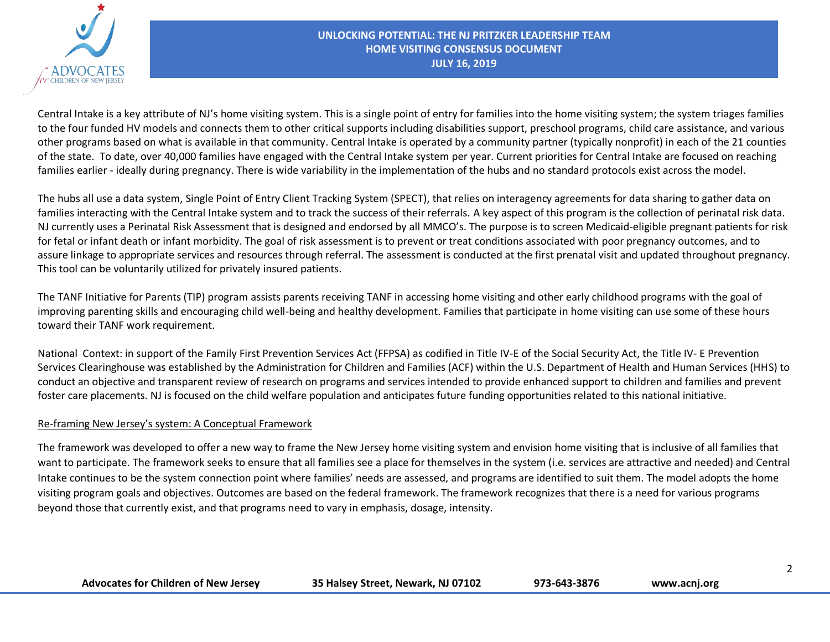

Central Intake is a key attribute of NJ's home visiting system. This is a single point of entry for families into the home visiting system; the system triages families to the four funded HV models and connects them to other critical supports including disabilities support, preschool programs, child care assistance, and various other programs based on what is available in that community. Central Intake is operated by a community partner (typically nonprofit) in each of the 21 counties of the state. To date, over 40,000 families have engaged with the Central Intake system per year. Current priorities for Central Intake are focused on reaching families earlier - ideally during pregnancy. There is wide variability in the implementation of the hubs and no standard protocols exist across the model.

The hubs all use a data system, Single Point of Entry Client Tracking System (SPECT), that relies on interagency agreements for data sharing to gather data on families interacting with the Central Intake system and to track the success of their referrals. A key aspect of this program is the collection of perinatal risk data. NJ currently uses a Perinatal Risk Assessment that is designed and endorsed by all MMCO's. The purpose is to screen Medicaid-eligible pregnant patients for risk for fetal or infant death or infant morbidity. The goal of risk assessment is to prevent or treat conditions associated with poor pregnancy outcomes, and to assure linkage to appropriate services and resources through referral. The assessment is conducted at the first prenatal visit and updated throughout pregnancy. This tool can be voluntarily utilized for privately insured patients.

The TANF Initiative for Parents (TIP) program assists parents receiving TANF in accessing home visiting and other early childhood programs with the goal of improving parenting skills and encouraging child well-being and healthy development. Families that participate in home visiting can use some of these hours toward their TANF work requirement.

National Context: in support of the Family First Prevention Services Act (FFPSA) as codified in Title IV-E of the Social Security Act, the Title IV- E Prevention Services Clearinghouse was established by the Administration for Children and Families (ACF) within the U.S. Department of Health and Human Services (HHS) to conduct an objective and transparent review of research on programs and services intended to provide enhanced support to children and families and prevent foster care placements. NJ is focused on the child welfare population and anticipates future funding opportunities related to this national initiative.

## Re-framing New Jersey's system: A Conceptual Framework

The framework was developed to offer a new way to frame the New Jersey home visiting system and envision home visiting that is inclusive of all families that want to participate. The framework seeks to ensure that all families see a place for themselves in the system (i.e. services are attractive and needed) and Central Intake continues to be the system connection point where families' needs are assessed, and programs are identified to suit them. The model adopts the home visiting program goals and objectives. Outcomes are based on the federal framework. The framework recognizes that there is a need for various programs beyond those that currently exist, and that programs need to vary in emphasis, dosage, intensity.

| <b>Advocates for Children of New Jersey</b> | 35 Halsey Street, Newark, NJ 07102 | 973-643-3876 | www.acnj.org |
|---------------------------------------------|------------------------------------|--------------|--------------|
|---------------------------------------------|------------------------------------|--------------|--------------|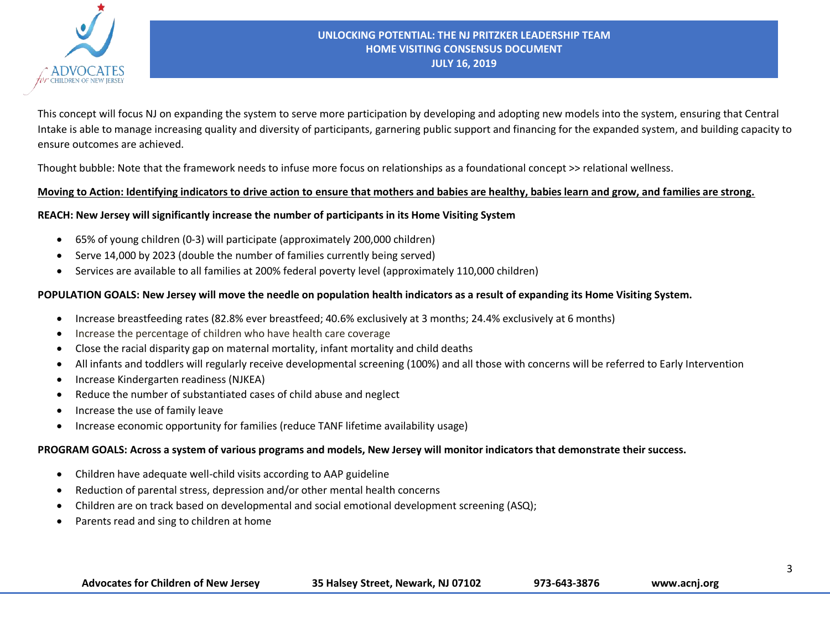

This concept will focus NJ on expanding the system to serve more participation by developing and adopting new models into the system, ensuring that Central Intake is able to manage increasing quality and diversity of participants, garnering public support and financing for the expanded system, and building capacity to ensure outcomes are achieved.

Thought bubble: Note that the framework needs to infuse more focus on relationships as a foundational concept >> relational wellness.

#### **Moving to Action: Identifying indicators to drive action to ensure that mothers and babies are healthy, babies learn and grow, and families are strong.**

## **REACH: New Jersey will significantly increase the number of participants in its Home Visiting System**

- 65% of young children (0-3) will participate (approximately 200,000 children)
- Serve 14,000 by 2023 (double the number of families currently being served)
- Services are available to all families at 200% federal poverty level (approximately 110,000 children)

## **POPULATION GOALS: New Jersey will move the needle on population health indicators as a result of expanding its Home Visiting System.**

- Increase breastfeeding rates (82.8% ever breastfeed; 40.6% exclusively at 3 months; 24.4% exclusively at 6 months)
- Increase the percentage of children who have health care coverage
- Close the racial disparity gap on maternal mortality, infant mortality and child deaths
- All infants and toddlers will regularly receive developmental screening (100%) and all those with concerns will be referred to Early Intervention
- Increase Kindergarten readiness (NJKEA)
- Reduce the number of substantiated cases of child abuse and neglect
- Increase the use of family leave
- Increase economic opportunity for families (reduce TANF lifetime availability usage)

#### **PROGRAM GOALS: Across a system of various programs and models, New Jersey will monitor indicators that demonstrate their success.**

- Children have adequate well-child visits according to AAP guideline
- Reduction of parental stress, depression and/or other mental health concerns
- Children are on track based on developmental and social emotional development screening (ASQ);
- Parents read and sing to children at home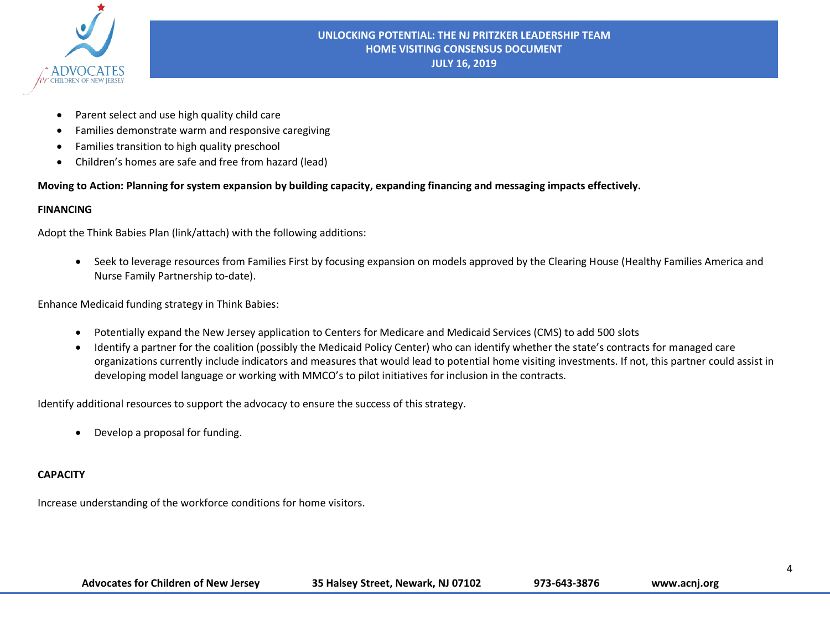

- Parent select and use high quality child care
- Families demonstrate warm and responsive caregiving
- Families transition to high quality preschool
- Children's homes are safe and free from hazard (lead)

**Moving to Action: Planning for system expansion by building capacity, expanding financing and messaging impacts effectively.** 

## **FINANCING**

Adopt the Think Babies Plan (link/attach) with the following additions:

• Seek to leverage resources from Families First by focusing expansion on models approved by the Clearing House (Healthy Families America and Nurse Family Partnership to-date).

Enhance Medicaid funding strategy in Think Babies:

- Potentially expand the New Jersey application to Centers for Medicare and Medicaid Services (CMS) to add 500 slots
- Identify a partner for the coalition (possibly the Medicaid Policy Center) who can identify whether the state's contracts for managed care organizations currently include indicators and measures that would lead to potential home visiting investments. If not, this partner could assist in developing model language or working with MMCO's to pilot initiatives for inclusion in the contracts.

Identify additional resources to support the advocacy to ensure the success of this strategy.

• Develop a proposal for funding.

# **CAPACITY**

Increase understanding of the workforce conditions for home visitors.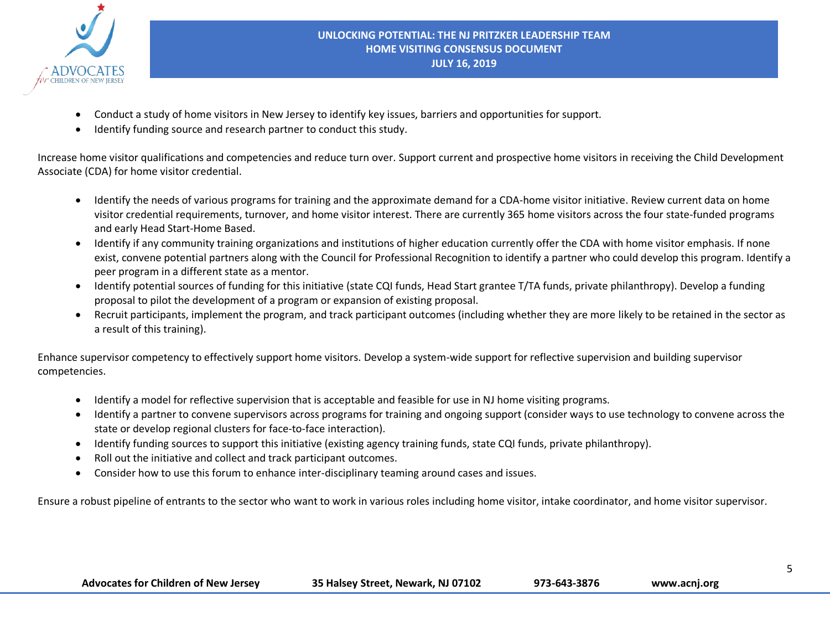

- Conduct a study of home visitors in New Jersey to identify key issues, barriers and opportunities for support.
- Identify funding source and research partner to conduct this study.

Increase home visitor qualifications and competencies and reduce turn over. Support current and prospective home visitors in receiving the Child Development Associate (CDA) for home visitor credential.

- Identify the needs of various programs for training and the approximate demand for a CDA-home visitor initiative. Review current data on home visitor credential requirements, turnover, and home visitor interest. There are currently 365 home visitors across the four state-funded programs and early Head Start-Home Based.
- Identify if any community training organizations and institutions of higher education currently offer the CDA with home visitor emphasis. If none exist, convene potential partners along with the Council for Professional Recognition to identify a partner who could develop this program. Identify a peer program in a different state as a mentor.
- Identify potential sources of funding for this initiative (state CQI funds, Head Start grantee T/TA funds, private philanthropy). Develop a funding proposal to pilot the development of a program or expansion of existing proposal.
- Recruit participants, implement the program, and track participant outcomes (including whether they are more likely to be retained in the sector as a result of this training).

Enhance supervisor competency to effectively support home visitors. Develop a system-wide support for reflective supervision and building supervisor competencies.

- Identify a model for reflective supervision that is acceptable and feasible for use in NJ home visiting programs.
- Identify a partner to convene supervisors across programs for training and ongoing support (consider ways to use technology to convene across the state or develop regional clusters for face-to-face interaction).
- Identify funding sources to support this initiative (existing agency training funds, state CQI funds, private philanthropy).
- Roll out the initiative and collect and track participant outcomes.
- Consider how to use this forum to enhance inter-disciplinary teaming around cases and issues.

Ensure a robust pipeline of entrants to the sector who want to work in various roles including home visitor, intake coordinator, and home visitor supervisor.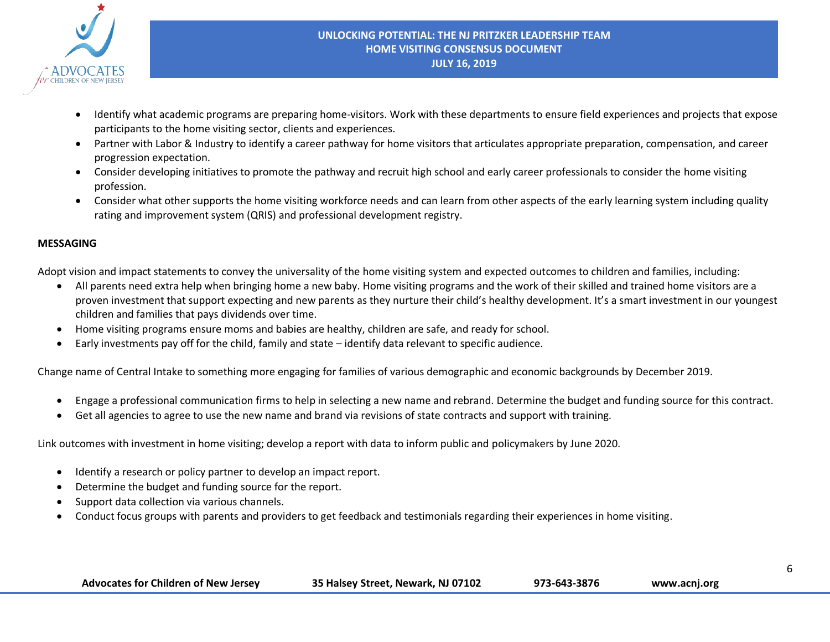

- Identify what academic programs are preparing home-visitors. Work with these departments to ensure field experiences and projects that expose participants to the home visiting sector, clients and experiences.
- Partner with Labor & Industry to identify a career pathway for home visitors that articulates appropriate preparation, compensation, and career progression expectation.
- Consider developing initiatives to promote the pathway and recruit high school and early career professionals to consider the home visiting profession.
- Consider what other supports the home visiting workforce needs and can learn from other aspects of the early learning system including quality rating and improvement system (QRIS) and professional development registry.

## **MESSAGING**

Adopt vision and impact statements to convey the universality of the home visiting system and expected outcomes to children and families, including:

- All parents need extra help when bringing home a new baby. Home visiting programs and the work of their skilled and trained home visitors are a proven investment that support expecting and new parents as they nurture their child's healthy development. It's a smart investment in our youngest children and families that pays dividends over time.
- Home visiting programs ensure moms and babies are healthy, children are safe, and ready for school.
- Early investments pay off for the child, family and state identify data relevant to specific audience.

Change name of Central Intake to something more engaging for families of various demographic and economic backgrounds by December 2019.

- Engage a professional communication firms to help in selecting a new name and rebrand. Determine the budget and funding source for this contract.
- Get all agencies to agree to use the new name and brand via revisions of state contracts and support with training.

Link outcomes with investment in home visiting; develop a report with data to inform public and policymakers by June 2020.

- Identify a research or policy partner to develop an impact report.
- Determine the budget and funding source for the report.
- Support data collection via various channels.
- Conduct focus groups with parents and providers to get feedback and testimonials regarding their experiences in home visiting.